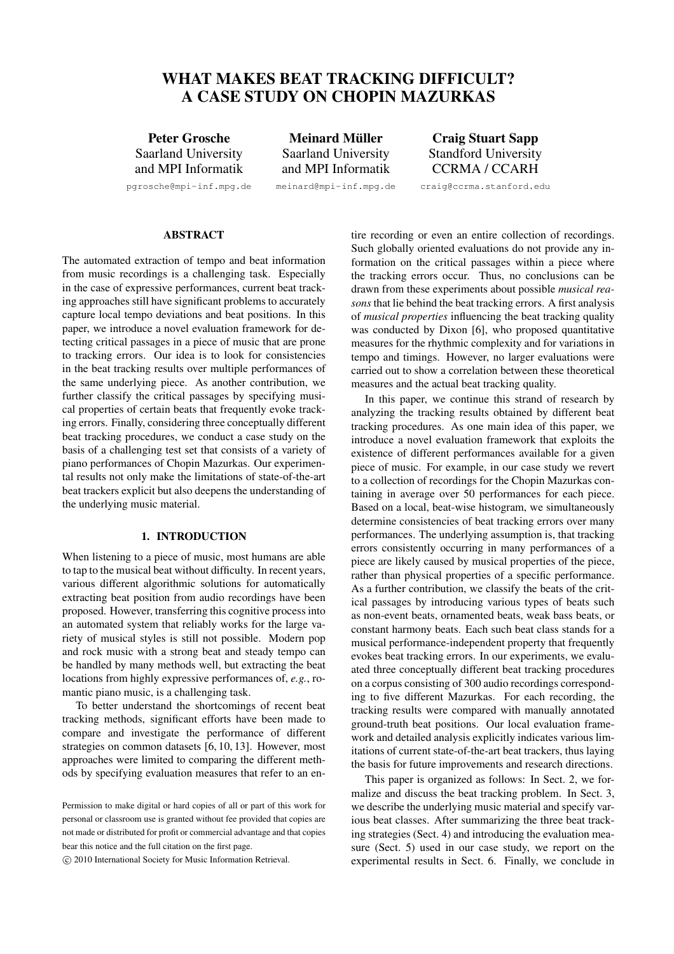# **WHAT MAKES BEAT TRACKING DIFFICULT? A CASE STUDY ON CHOPIN MAZURKAS**

**Peter Grosche** Saarland University and MPI Informatik

pgrosche@mpi-inf.mpg.de

**Meinard Muller ¨** Saarland University and MPI Informatik

meinard@mpi-inf.mpg.de

**Craig Stuart Sapp** Standford University CCRMA / CCARH

craig@ccrma.stanford.edu

**ABSTRACT**

The automated extraction of tempo and beat information from music recordings is a challenging task. Especially in the case of expressive performances, current beat tracking approaches still have significant problems to accurately capture local tempo deviations and beat positions. In this paper, we introduce a novel evaluation framework for detecting critical passages in a piece of music that are prone to tracking errors. Our idea is to look for consistencies in the beat tracking results over multiple performances of the same underlying piece. As another contribution, we further classify the critical passages by specifying musical properties of certain beats that frequently evoke tracking errors. Finally, considering three conceptually different beat tracking procedures, we conduct a case study on the basis of a challenging test set that consists of a variety of piano performances of Chopin Mazurkas. Our experimental results not only make the limitations of state-of-the-art beat trackers explicit but also deepens the understanding of the underlying music material.

#### **1. INTRODUCTION**

When listening to a piece of music, most humans are able to tap to the musical beat without difficulty. In recent years, various different algorithmic solutions for automatically extracting beat position from audio recordings have been proposed. However, transferring this cognitive process into an automated system that reliably works for the large variety of musical styles is still not possible. Modern pop and rock music with a strong beat and steady tempo can be handled by many methods well, but extracting the beat locations from highly expressive performances of, *e.g.*, romantic piano music, is a challenging task.

To better understand the shortcomings of recent beat tracking methods, significant efforts have been made to compare and investigate the performance of different strategies on common datasets [6, 10, 13]. However, most approaches were limited to comparing the different methods by specifying evaluation measures that refer to an en-

c 2010 International Society for Music Information Retrieval.

tire recording or even an entire collection of recordings. Such globally oriented evaluations do not provide any information on the critical passages within a piece where the tracking errors occur. Thus, no conclusions can be drawn from these experiments about possible *musical reasons* that lie behind the beat tracking errors. A first analysis of *musical properties* influencing the beat tracking quality was conducted by Dixon [6], who proposed quantitative measures for the rhythmic complexity and for variations in tempo and timings. However, no larger evaluations were carried out to show a correlation between these theoretical measures and the actual beat tracking quality.

In this paper, we continue this strand of research by analyzing the tracking results obtained by different beat tracking procedures. As one main idea of this paper, we introduce a novel evaluation framework that exploits the existence of different performances available for a given piece of music. For example, in our case study we revert to a collection of recordings for the Chopin Mazurkas containing in average over 50 performances for each piece. Based on a local, beat-wise histogram, we simultaneously determine consistencies of beat tracking errors over many performances. The underlying assumption is, that tracking errors consistently occurring in many performances of a piece are likely caused by musical properties of the piece, rather than physical properties of a specific performance. As a further contribution, we classify the beats of the critical passages by introducing various types of beats such as non-event beats, ornamented beats, weak bass beats, or constant harmony beats. Each such beat class stands for a musical performance-independent property that frequently evokes beat tracking errors. In our experiments, we evaluated three conceptually different beat tracking procedures on a corpus consisting of 300 audio recordings corresponding to five different Mazurkas. For each recording, the tracking results were compared with manually annotated ground-truth beat positions. Our local evaluation framework and detailed analysis explicitly indicates various limitations of current state-of-the-art beat trackers, thus laying the basis for future improvements and research directions.

This paper is organized as follows: In Sect. 2, we formalize and discuss the beat tracking problem. In Sect. 3, we describe the underlying music material and specify various beat classes. After summarizing the three beat tracking strategies (Sect. 4) and introducing the evaluation measure (Sect. 5) used in our case study, we report on the experimental results in Sect. 6. Finally, we conclude in

Permission to make digital or hard copies of all or part of this work for personal or classroom use is granted without fee provided that copies are not made or distributed for profit or commercial advantage and that copies bear this notice and the full citation on the first page.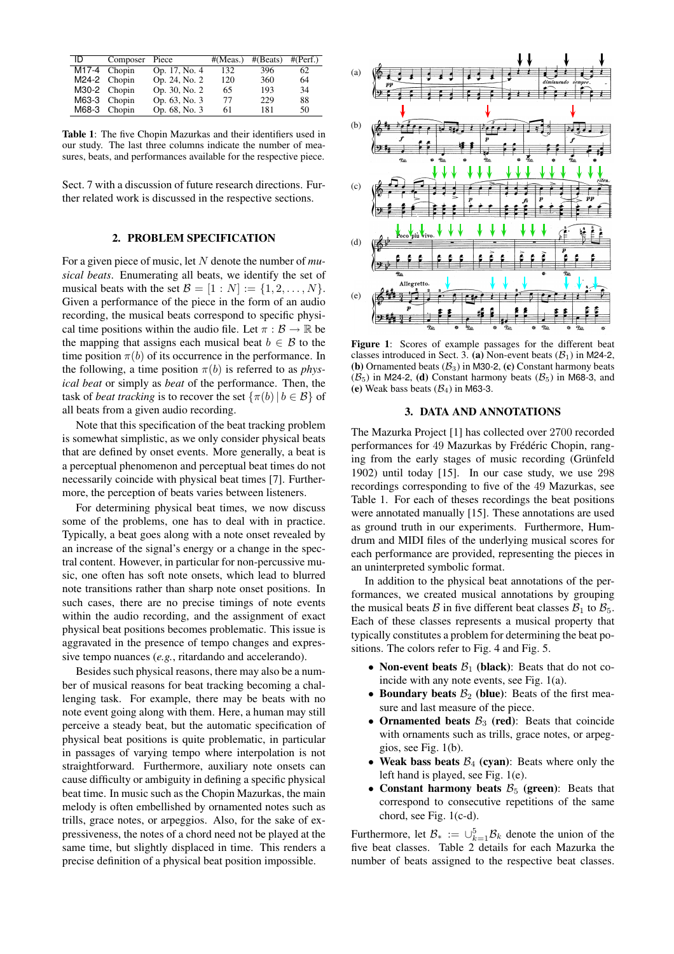| ID             | Composer       | Piece         | #(Meas.) | #(Beats) | #(Perf.) |
|----------------|----------------|---------------|----------|----------|----------|
| $M17-4$ Chopin |                | Op. 17, No. 4 | 132      | 396      | 62       |
|                | $M24-2$ Chopin | Op. 24, No. 2 | 120      | 360      | 64       |
|                | M30-2 Chopin   | Op. 30, No. 2 | 65       | 193      | 34       |
|                | M63-3 Chopin   | Op. 63, No. 3 | 77       | 229      | 88       |
|                | M68-3 Chopin   | Op. 68, No. 3 | 61       | 181      | 50       |

**Table 1**: The five Chopin Mazurkas and their identifiers used in our study. The last three columns indicate the number of measures, beats, and performances available for the respective piece.

Sect. 7 with a discussion of future research directions. Further related work is discussed in the respective sections.

#### **2. PROBLEM SPECIFICATION**

For a given piece of music, let N denote the number of *musical beats*. Enumerating all beats, we identify the set of musical beats with the set  $\mathcal{B} = [1:N] := \{1,2,\ldots,N\}.$ Given a performance of the piece in the form of an audio recording, the musical beats correspond to specific physical time positions within the audio file. Let  $\pi : \mathcal{B} \to \mathbb{R}$  be the mapping that assigns each musical beat  $b \in \mathcal{B}$  to the time position  $\pi(b)$  of its occurrence in the performance. In the following, a time position  $\pi(b)$  is referred to as *physical beat* or simply as *beat* of the performance. Then, the task of *beat tracking* is to recover the set  $\{\pi(b) | b \in \mathcal{B}\}\$  of all beats from a given audio recording.

Note that this specification of the beat tracking problem is somewhat simplistic, as we only consider physical beats that are defined by onset events. More generally, a beat is a perceptual phenomenon and perceptual beat times do not necessarily coincide with physical beat times [7]. Furthermore, the perception of beats varies between listeners.

For determining physical beat times, we now discuss some of the problems, one has to deal with in practice. Typically, a beat goes along with a note onset revealed by an increase of the signal's energy or a change in the spectral content. However, in particular for non-percussive music, one often has soft note onsets, which lead to blurred note transitions rather than sharp note onset positions. In such cases, there are no precise timings of note events within the audio recording, and the assignment of exact physical beat positions becomes problematic. This issue is aggravated in the presence of tempo changes and expressive tempo nuances (*e.g.*, ritardando and accelerando).

Besides such physical reasons, there may also be a number of musical reasons for beat tracking becoming a challenging task. For example, there may be beats with no note event going along with them. Here, a human may still perceive a steady beat, but the automatic specification of physical beat positions is quite problematic, in particular in passages of varying tempo where interpolation is not straightforward. Furthermore, auxiliary note onsets can cause difficulty or ambiguity in defining a specific physical beat time. In music such as the Chopin Mazurkas, the main melody is often embellished by ornamented notes such as trills, grace notes, or arpeggios. Also, for the sake of expressiveness, the notes of a chord need not be played at the same time, but slightly displaced in time. This renders a precise definition of a physical beat position impossible.



**Figure 1**: Scores of example passages for the different beat classes introduced in Sect. 3. **(a)** Non-event beats  $(\mathcal{B}_1)$  in M24-2, **(b)** Ornamented beats  $(\mathcal{B}_3)$  in M30-2, **(c)** Constant harmony beats  $(\mathcal{B}_5)$  in M24-2, **(d)** Constant harmony beats  $(\mathcal{B}_5)$  in M68-3, and (e) Weak bass beats  $(B_4)$  in M63-3.

#### **3. DATA AND ANNOTATIONS**

The Mazurka Project [1] has collected over 2700 recorded performances for 49 Mazurkas by Frédéric Chopin, ranging from the early stages of music recording (Grünfeld 1902) until today [15]. In our case study, we use 298 recordings corresponding to five of the 49 Mazurkas, see Table 1. For each of theses recordings the beat positions were annotated manually [15]. These annotations are used as ground truth in our experiments. Furthermore, Humdrum and MIDI files of the underlying musical scores for each performance are provided, representing the pieces in an uninterpreted symbolic format.

In addition to the physical beat annotations of the performances, we created musical annotations by grouping the musical beats B in five different beat classes  $B_1$  to  $B_5$ . Each of these classes represents a musical property that typically constitutes a problem for determining the beat positions. The colors refer to Fig. 4 and Fig. 5.

- **Non-event beats**  $B_1$  (**black**): Beats that do not coincide with any note events, see Fig. 1(a).
- **Boundary beats**  $B_2$  (blue): Beats of the first measure and last measure of the piece.
- **Ornamented beats**  $B_3$  (red): Beats that coincide with ornaments such as trills, grace notes, or arpeggios, see Fig. 1(b).
- Weak bass beats  $\mathcal{B}_4$  (cyan): Beats where only the left hand is played, see Fig. 1(e).
- **Constant harmony beats**  $\mathcal{B}_5$  (green): Beats that correspond to consecutive repetitions of the same chord, see Fig. 1(c-d).

Furthermore, let  $\mathcal{B}_* := \cup_{k=1}^5 \mathcal{B}_k$  denote the union of the five beat classes. Table 2 details for each Mazurka the number of beats assigned to the respective beat classes.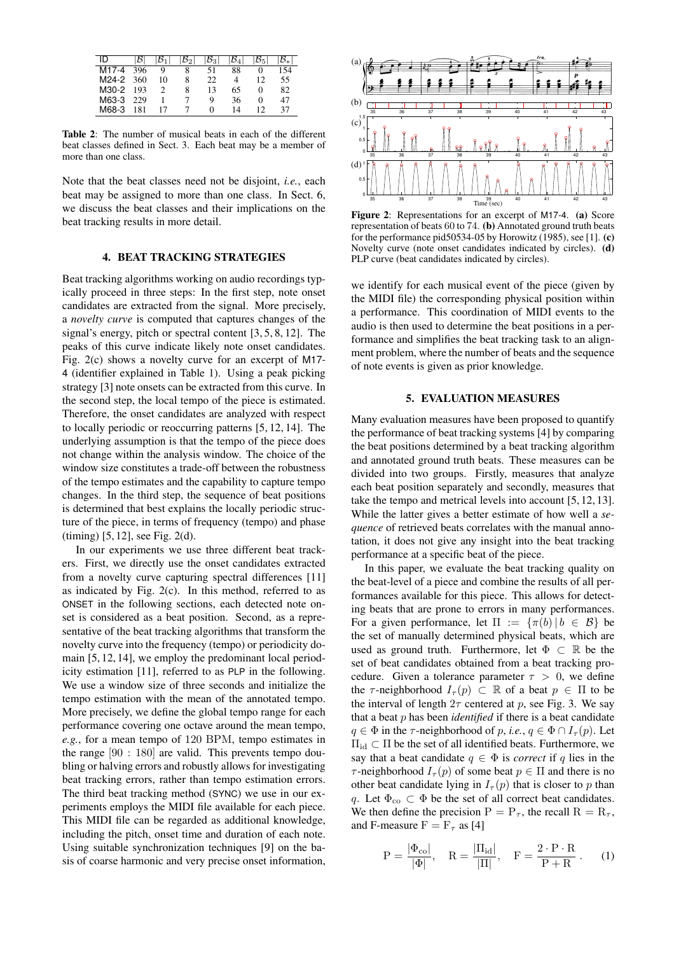|       | I5  |    |   | 53 |    |         |    |
|-------|-----|----|---|----|----|---------|----|
| M17-4 | 396 |    |   | 51 | 88 |         | 54 |
| M24-2 | 360 | 10 | 8 | 22 | 4  | 12      | 55 |
| M30-2 | 193 |    | 8 | 13 | 65 | $_{0}$  | 82 |
| M63-3 | 229 |    |   | Q  | 36 | $^{()}$ | 47 |
| M68-3 | 181 |    |   | 0  | 14 | 12      | 37 |

**Table 2**: The number of musical beats in each of the different beat classes defined in Sect. 3. Each beat may be a member of more than one class.

Note that the beat classes need not be disjoint, *i.e.*, each beat may be assigned to more than one class. In Sect. 6, we discuss the beat classes and their implications on the beat tracking results in more detail.

#### **4. BEAT TRACKING STRATEGIES**

Beat tracking algorithms working on audio recordings typically proceed in three steps: In the first step, note onset candidates are extracted from the signal. More precisely, a *novelty curve* is computed that captures changes of the signal's energy, pitch or spectral content [3, 5, 8, 12]. The peaks of this curve indicate likely note onset candidates. Fig. 2(c) shows a novelty curve for an excerpt of M17- 4 (identifier explained in Table 1). Using a peak picking strategy [3] note onsets can be extracted from this curve. In the second step, the local tempo of the piece is estimated. Therefore, the onset candidates are analyzed with respect to locally periodic or reoccurring patterns [5, 12, 14]. The underlying assumption is that the tempo of the piece does not change within the analysis window. The choice of the window size constitutes a trade-off between the robustness of the tempo estimates and the capability to capture tempo changes. In the third step, the sequence of beat positions is determined that best explains the locally periodic structure of the piece, in terms of frequency (tempo) and phase (timing) [5, 12], see Fig. 2(d).

In our experiments we use three different beat trackers. First, we directly use the onset candidates extracted from a novelty curve capturing spectral differences [11] as indicated by Fig.  $2(c)$ . In this method, referred to as ONSET in the following sections, each detected note onset is considered as a beat position. Second, as a representative of the beat tracking algorithms that transform the novelty curve into the frequency (tempo) or periodicity domain [5, 12, 14], we employ the predominant local periodicity estimation [11], referred to as PLP in the following. We use a window size of three seconds and initialize the tempo estimation with the mean of the annotated tempo. More precisely, we define the global tempo range for each performance covering one octave around the mean tempo, *e.g.*, for a mean tempo of 120 BPM, tempo estimates in the range [90 : 180] are valid. This prevents tempo doubling or halving errors and robustly allows for investigating beat tracking errors, rather than tempo estimation errors. The third beat tracking method (SYNC) we use in our experiments employs the MIDI file available for each piece. This MIDI file can be regarded as additional knowledge, including the pitch, onset time and duration of each note. Using suitable synchronization techniques [9] on the basis of coarse harmonic and very precise onset information,



**Figure 2**: Representations for an excerpt of M17-4. **(a)** Score representation of beats 60 to 74. **(b)** Annotated ground truth beats for the performance pid50534-05 by Horowitz (1985), see [1]. **(c)** Novelty curve (note onset candidates indicated by circles). **(d)** PLP curve (beat candidates indicated by circles).

we identify for each musical event of the piece (given by the MIDI file) the corresponding physical position within a performance. This coordination of MIDI events to the audio is then used to determine the beat positions in a performance and simplifies the beat tracking task to an alignment problem, where the number of beats and the sequence of note events is given as prior knowledge.

### **5. EVALUATION MEASURES**

Many evaluation measures have been proposed to quantify the performance of beat tracking systems [4] by comparing the beat positions determined by a beat tracking algorithm and annotated ground truth beats. These measures can be divided into two groups. Firstly, measures that analyze each beat position separately and secondly, measures that take the tempo and metrical levels into account [5, 12, 13]. While the latter gives a better estimate of how well a *sequence* of retrieved beats correlates with the manual annotation, it does not give any insight into the beat tracking performance at a specific beat of the piece.

In this paper, we evaluate the beat tracking quality on the beat-level of a piece and combine the results of all performances available for this piece. This allows for detecting beats that are prone to errors in many performances. For a given performance, let  $\Pi := \{\pi(b) | b \in \mathcal{B}\}\$ be the set of manually determined physical beats, which are used as ground truth. Furthermore, let  $\Phi \subset \mathbb{R}$  be the set of beat candidates obtained from a beat tracking procedure. Given a tolerance parameter  $\tau > 0$ , we define the  $\tau$ -neighborhood  $I_{\tau}(p) \subset \mathbb{R}$  of a beat  $p \in \Pi$  to be the interval of length  $2\tau$  centered at p, see Fig. 3. We say that a beat p has been *identified* if there is a beat candidate  $q \in \Phi$  in the  $\tau$ -neighborhood of p, *i.e.*,  $q \in \Phi \cap I_{\tau}(p)$ . Let  $\Pi_{\rm id}$   $\subset$   $\Pi$  be the set of all identified beats. Furthermore, we say that a beat candidate  $q \in \Phi$  is *correct* if q lies in the  $\tau$ -neighborhood  $I_{\tau}(p)$  of some beat  $p \in \Pi$  and there is no other beat candidate lying in  $I_{\tau}(p)$  that is closer to p than q. Let  $\Phi_{\rm co} \subset \Phi$  be the set of all correct beat candidates. We then define the precision  $P = P_{\tau}$ , the recall  $R = R_{\tau}$ , and F-measure  $F = F_\tau$  as [4]

$$
P = \frac{|\Phi_{\text{co}}|}{|\Phi|}, \quad R = \frac{|\Pi_{\text{id}}|}{|\Pi|}, \quad F = \frac{2 \cdot P \cdot R}{P + R} \,. \tag{1}
$$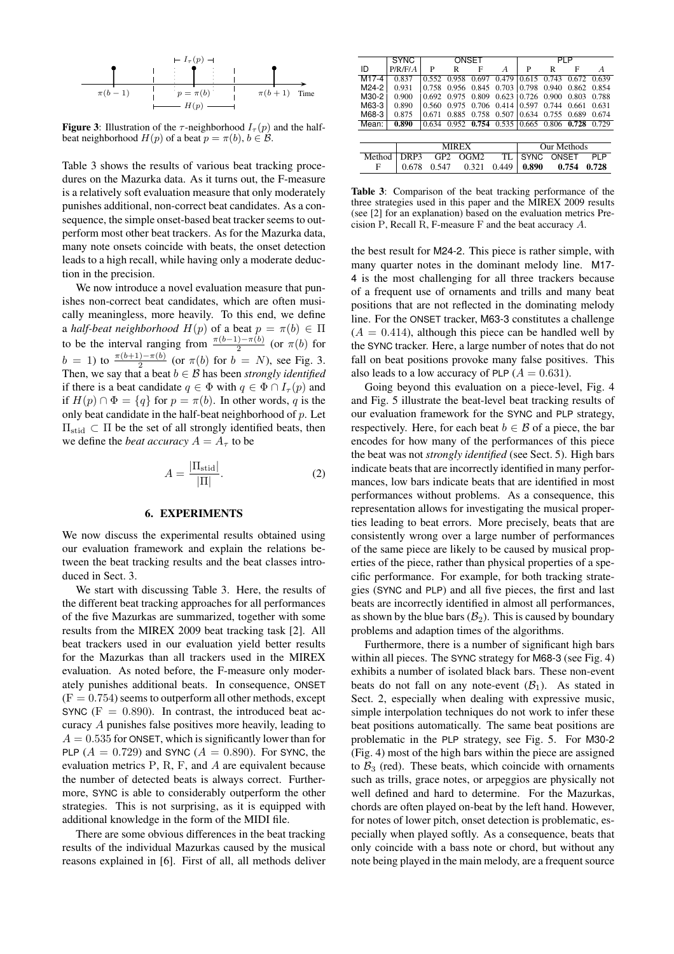

**Figure 3**: Illustration of the  $\tau$ -neighborhood  $I_{\tau}(p)$  and the halfbeat neighborhood  $H(p)$  of a beat  $p = \pi(b)$ ,  $b \in \mathcal{B}$ .

Table 3 shows the results of various beat tracking procedures on the Mazurka data. As it turns out, the F-measure is a relatively soft evaluation measure that only moderately punishes additional, non-correct beat candidates. As a consequence, the simple onset-based beat tracker seems to outperform most other beat trackers. As for the Mazurka data, many note onsets coincide with beats, the onset detection leads to a high recall, while having only a moderate deduction in the precision.

We now introduce a novel evaluation measure that punishes non-correct beat candidates, which are often musically meaningless, more heavily. To this end, we define a *half-beat neighborhood*  $H(p)$  of a beat  $p = \pi(b) \in \Pi$ to be the interval ranging from  $\frac{\pi(b-1)-\pi(b)}{2}$  (or  $\pi(b)$  for  $b = 1$ ) to  $\frac{\pi(b+1)-\pi(b)}{2}$  (or  $\pi(b)$  for  $b = N$ ), see Fig. 3. Then, we say that a beat  $b \in \mathcal{B}$  has been *strongly identified* if there is a beat candidate  $q \in \Phi$  with  $q \in \Phi \cap I_{\tau}(p)$  and if  $H(p) \cap \Phi = \{q\}$  for  $p = \pi(b)$ . In other words, q is the only beat candidate in the half-beat neighborhood of  $p$ . Let  $\Pi_{\text{stid}}$  ⊂  $\Pi$  be the set of all strongly identified beats, then we define the *beat accuracy*  $A = A_{\tau}$  to be

$$
A = \frac{|\Pi_{\text{stid}}|}{|\Pi|}.
$$
 (2)

#### **6. EXPERIMENTS**

We now discuss the experimental results obtained using our evaluation framework and explain the relations between the beat tracking results and the beat classes introduced in Sect. 3.

We start with discussing Table 3. Here, the results of the different beat tracking approaches for all performances of the five Mazurkas are summarized, together with some results from the MIREX 2009 beat tracking task [2]. All beat trackers used in our evaluation yield better results for the Mazurkas than all trackers used in the MIREX evaluation. As noted before, the F-measure only moderately punishes additional beats. In consequence, ONSET  $(F = 0.754)$  seems to outperform all other methods, except SYNC  $(F = 0.890)$ . In contrast, the introduced beat accuracy A punishes false positives more heavily, leading to  $A = 0.535$  for ONSET, which is significantly lower than for PLP  $(A = 0.729)$  and SYNC  $(A = 0.890)$ . For SYNC, the evaluation metrics P, R, F, and A are equivalent because the number of detected beats is always correct. Furthermore, SYNC is able to considerably outperform the other strategies. This is not surprising, as it is equipped with additional knowledge in the form of the MIDI file.

There are some obvious differences in the beat tracking results of the individual Mazurkas caused by the musical reasons explained in [6]. First of all, all methods deliver

|                   | <b>SYNC</b> | ONSET |              |       |       | PLP         |              |       |                |
|-------------------|-------------|-------|--------------|-------|-------|-------------|--------------|-------|----------------|
| ID                | P/R/F/A     | P     | R            | F     | A     | P           | R            | F     | $\overline{A}$ |
| M <sub>17-4</sub> | 0.837       | 0.552 | 0.958        | 0.697 | 0.479 | 0.615       | 0.743        | 0.672 | 0.639          |
| M24-2             | 0.931       | 0.758 | 0.956        | 0.845 | 0.703 | 0.798       | 0.940        | 0.862 | 0.854          |
| M30-2             | 0.900       | 0.692 | 0.975        | 0.809 | 0.623 | 0.726       | 0.900        | 0.803 | 0.788          |
| M63-3             | 0.890       | 0.560 | 0.975        | 0.706 | 0.414 | 0.597       | 0.744        | 0.661 | 0.631          |
| M68-3             | 0.875       | 0.671 | 0.885        | 0.758 | 0.507 | 0.634       | 0.755        | 0.689 | 0.674          |
| Mean:             | 0.890       | 0.634 | 0.952        | 0.754 | 0.535 | 0.665       | 0.806        | 0.728 | 0.729          |
|                   |             |       |              |       |       |             |              |       |                |
|                   |             |       | <b>MIREX</b> |       |       |             | Our Methods  |       |                |
| Method            | DRP3        | GP2   |              | OGM2  | TL    | <b>SYNC</b> | <b>ONSET</b> |       | PI P           |
| F                 | 0.678       | 0.547 |              | 0.321 | 0.449 | 0.890       |              | 0.754 | 0.728          |

**Table 3**: Comparison of the beat tracking performance of the three strategies used in this paper and the MIREX 2009 results (see [2] for an explanation) based on the evaluation metrics Precision P, Recall R, F-measure F and the beat accuracy A.

the best result for M24-2. This piece is rather simple, with many quarter notes in the dominant melody line. M17- 4 is the most challenging for all three trackers because of a frequent use of ornaments and trills and many beat positions that are not reflected in the dominating melody line. For the ONSET tracker, M63-3 constitutes a challenge  $(A = 0.414)$ , although this piece can be handled well by the SYNC tracker. Here, a large number of notes that do not fall on beat positions provoke many false positives. This also leads to a low accuracy of PLP  $(A = 0.631)$ .

Going beyond this evaluation on a piece-level, Fig. 4 and Fig. 5 illustrate the beat-level beat tracking results of our evaluation framework for the SYNC and PLP strategy, respectively. Here, for each beat  $b \in \mathcal{B}$  of a piece, the bar encodes for how many of the performances of this piece the beat was not *strongly identified* (see Sect. 5). High bars indicate beats that are incorrectly identified in many performances, low bars indicate beats that are identified in most performances without problems. As a consequence, this representation allows for investigating the musical properties leading to beat errors. More precisely, beats that are consistently wrong over a large number of performances of the same piece are likely to be caused by musical properties of the piece, rather than physical properties of a specific performance. For example, for both tracking strategies (SYNC and PLP) and all five pieces, the first and last beats are incorrectly identified in almost all performances, as shown by the blue bars  $(\mathcal{B}_2)$ . This is caused by boundary problems and adaption times of the algorithms.

Furthermore, there is a number of significant high bars within all pieces. The SYNC strategy for M68-3 (see Fig. 4) exhibits a number of isolated black bars. These non-event beats do not fall on any note-event  $(\mathcal{B}_1)$ . As stated in Sect. 2, especially when dealing with expressive music, simple interpolation techniques do not work to infer these beat positions automatically. The same beat positions are problematic in the PLP strategy, see Fig. 5. For M30-2 (Fig. 4) most of the high bars within the piece are assigned to  $B_3$  (red). These beats, which coincide with ornaments such as trills, grace notes, or arpeggios are physically not well defined and hard to determine. For the Mazurkas, chords are often played on-beat by the left hand. However, for notes of lower pitch, onset detection is problematic, especially when played softly. As a consequence, beats that only coincide with a bass note or chord, but without any note being played in the main melody, are a frequent source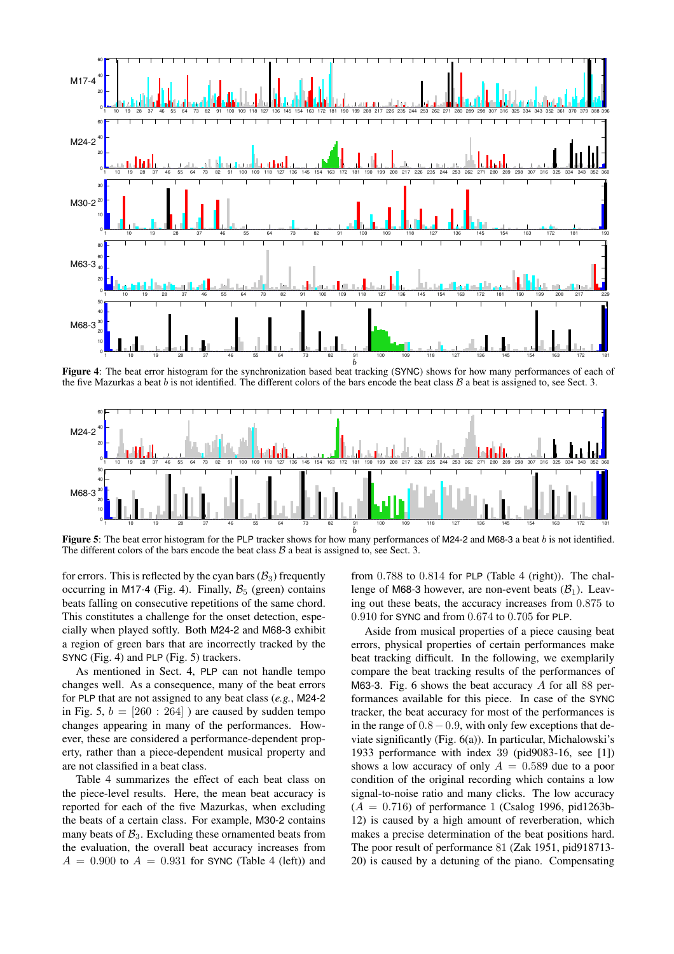

**Figure 4**: The beat error histogram for the synchronization based beat tracking (SYNC) shows for how many performances of each of the five Mazurkas a beat b is not identified. The different colors of the bars encode the beat class  $\beta$  a beat is assigned to, see Sect. 3.



**Figure 5**: The beat error histogram for the PLP tracker shows for how many performances of M24-2 and M68-3 a beat b is not identified. The different colors of the bars encode the beat class  $\beta$  a beat is assigned to, see Sect. 3.

for errors. This is reflected by the cyan bars  $(\mathcal{B}_3)$  frequently occurring in M17-4 (Fig. 4). Finally,  $\mathcal{B}_5$  (green) contains beats falling on consecutive repetitions of the same chord. This constitutes a challenge for the onset detection, especially when played softly. Both M24-2 and M68-3 exhibit a region of green bars that are incorrectly tracked by the SYNC (Fig. 4) and PLP (Fig. 5) trackers.

As mentioned in Sect. 4, PLP can not handle tempo changes well. As a consequence, many of the beat errors for PLP that are not assigned to any beat class (*e.g.*, M24-2 in Fig. 5,  $b = [260 : 264]$  ) are caused by sudden tempo changes appearing in many of the performances. However, these are considered a performance-dependent property, rather than a piece-dependent musical property and are not classified in a beat class.

Table 4 summarizes the effect of each beat class on the piece-level results. Here, the mean beat accuracy is reported for each of the five Mazurkas, when excluding the beats of a certain class. For example, M30-2 contains many beats of  $B_3$ . Excluding these ornamented beats from the evaluation, the overall beat accuracy increases from  $A = 0.900$  to  $A = 0.931$  for SYNC (Table 4 (left)) and

from 0.788 to 0.814 for PLP (Table 4 (right)). The challenge of M68-3 however, are non-event beats  $(\mathcal{B}_1)$ . Leaving out these beats, the accuracy increases from 0.875 to 0.910 for SYNC and from 0.674 to 0.705 for PLP.

Aside from musical properties of a piece causing beat errors, physical properties of certain performances make beat tracking difficult. In the following, we exemplarily compare the beat tracking results of the performances of M63-3. Fig. 6 shows the beat accuracy  $\hat{A}$  for all 88 performances available for this piece. In case of the SYNC tracker, the beat accuracy for most of the performances is in the range of 0.8−0.9, with only few exceptions that deviate significantly (Fig. 6(a)). In particular, Michalowski's 1933 performance with index 39 (pid9083-16, see [1]) shows a low accuracy of only  $A = 0.589$  due to a poor condition of the original recording which contains a low signal-to-noise ratio and many clicks. The low accuracy  $(A = 0.716)$  of performance 1 (Csalog 1996, pid1263b-12) is caused by a high amount of reverberation, which makes a precise determination of the beat positions hard. The poor result of performance 81 (Zak 1951, pid918713- 20) is caused by a detuning of the piano. Compensating